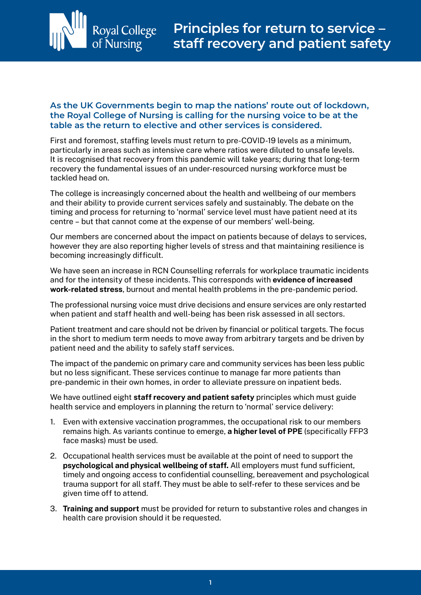

## **As the UK Governments begin to map the nations' route out of lockdown, the Royal College of Nursing is calling for the nursing voice to be at the table as the return to elective and other services is considered.**

First and foremost, staffing levels must return to pre-COVID-19 levels as a minimum, particularly in areas such as intensive care where ratios were diluted to unsafe levels. It is recognised that recovery from this pandemic will take years; during that long-term recovery the fundamental issues of an under-resourced nursing workforce must be tackled head on.

The college is increasingly concerned about the health and wellbeing of our members and their ability to provide current services safely and sustainably. The debate on the timing and process for returning to 'normal' service level must have patient need at its centre – but that cannot come at the expense of our members' well-being.

Our members are concerned about the impact on patients because of delays to services, however they are also reporting higher levels of stress and that maintaining resilience is becoming increasingly difficult.

We have seen an increase in RCN Counselling referrals for workplace traumatic incidents and for the intensity of these incidents. This corresponds with **evidence of increased work-related stress**, burnout and mental health problems in the pre-pandemic period.

The professional nursing voice must drive decisions and ensure services are only restarted when patient and staff health and well-being has been risk assessed in all sectors.

Patient treatment and care should not be driven by financial or political targets. The focus in the short to medium term needs to move away from arbitrary targets and be driven by patient need and the ability to safely staff services.

The impact of the pandemic on primary care and community services has been less public but no less significant. These services continue to manage far more patients than pre-pandemic in their own homes, in order to alleviate pressure on inpatient beds.

We have outlined eight **staff recovery and patient safety** principles which must guide health service and employers in planning the return to 'normal' service delivery:

- 1. Even with extensive vaccination programmes, the occupational risk to our members remains high. As variants continue to emerge, **a higher level of PPE** (specifically FFP3 face masks) must be used.
- 2. Occupational health services must be available at the point of need to support the **psychological and physical wellbeing of staff.** All employers must fund sufficient, timely and ongoing access to confidential counselling, bereavement and psychological trauma support for all staff. They must be able to self-refer to these services and be given time off to attend.
- 3. **Training and support** must be provided for return to substantive roles and changes in health care provision should it be requested.